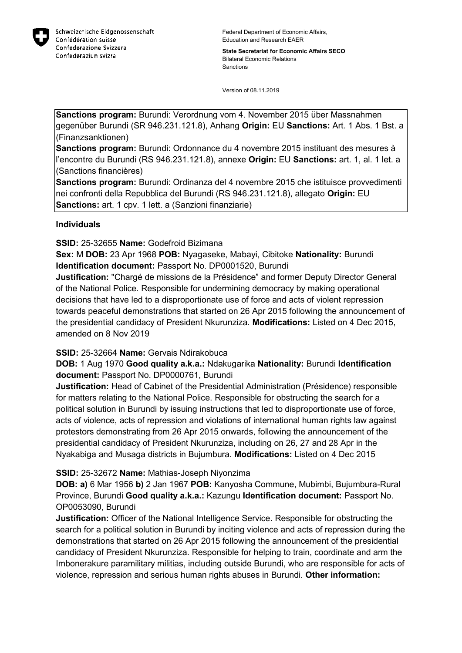

**State Secretariat for Economic Affairs SECO** Bilateral Economic Relations Sanctions

Version of 08.11.2019

**Sanctions program:** Burundi: Verordnung vom 4. November 2015 über Massnahmen gegenüber Burundi (SR 946.231.121.8), Anhang **Origin:** EU **Sanctions:** Art. 1 Abs. 1 Bst. a (Finanzsanktionen)

**Sanctions program:** Burundi: Ordonnance du 4 novembre 2015 instituant des mesures à l'encontre du Burundi (RS 946.231.121.8), annexe **Origin:** EU **Sanctions:** art. 1, al. 1 let. a (Sanctions financières)

**Sanctions program:** Burundi: Ordinanza del 4 novembre 2015 che istituisce provvedimenti nei confronti della Repubblica del Burundi (RS 946.231.121.8), allegato **Origin:** EU **Sanctions:** art. 1 cpv. 1 lett. a (Sanzioni finanziarie)

## **Individuals**

**SSID:** 25-32655 **Name:** Godefroid Bizimana

**Sex:** M **DOB:** 23 Apr 1968 **POB:** Nyagaseke, Mabayi, Cibitoke **Nationality:** Burundi **Identification document:** Passport No. DP0001520, Burundi

**Justification:** "Chargé de missions de la Présidence" and former Deputy Director General of the National Police. Responsible for undermining democracy by making operational decisions that have led to a disproportionate use of force and acts of violent repression towards peaceful demonstrations that started on 26 Apr 2015 following the announcement of the presidential candidacy of President Nkurunziza. **Modifications:** Listed on 4 Dec 2015, amended on 8 Nov 2019

## **SSID:** 25-32664 **Name:** Gervais Ndirakobuca

**DOB:** 1 Aug 1970 **Good quality a.k.a.:** Ndakugarika **Nationality:** Burundi **Identification document:** Passport No. DP0000761, Burundi

**Justification:** Head of Cabinet of the Presidential Administration (Présidence) responsible for matters relating to the National Police. Responsible for obstructing the search for a political solution in Burundi by issuing instructions that led to disproportionate use of force, acts of violence, acts of repression and violations of international human rights law against protestors demonstrating from 26 Apr 2015 onwards, following the announcement of the presidential candidacy of President Nkurunziza, including on 26, 27 and 28 Apr in the Nyakabiga and Musaga districts in Bujumbura. **Modifications:** Listed on 4 Dec 2015

## **SSID:** 25-32672 **Name:** Mathias-Joseph Niyonzima

**DOB: a)** 6 Mar 1956 **b)** 2 Jan 1967 **POB:** Kanyosha Commune, Mubimbi, Bujumbura-Rural Province, Burundi **Good quality a.k.a.:** Kazungu **Identification document:** Passport No. OP0053090, Burundi

**Justification:** Officer of the National Intelligence Service. Responsible for obstructing the search for a political solution in Burundi by inciting violence and acts of repression during the demonstrations that started on 26 Apr 2015 following the announcement of the presidential candidacy of President Nkurunziza. Responsible for helping to train, coordinate and arm the Imbonerakure paramilitary militias, including outside Burundi, who are responsible for acts of violence, repression and serious human rights abuses in Burundi. **Other information:**